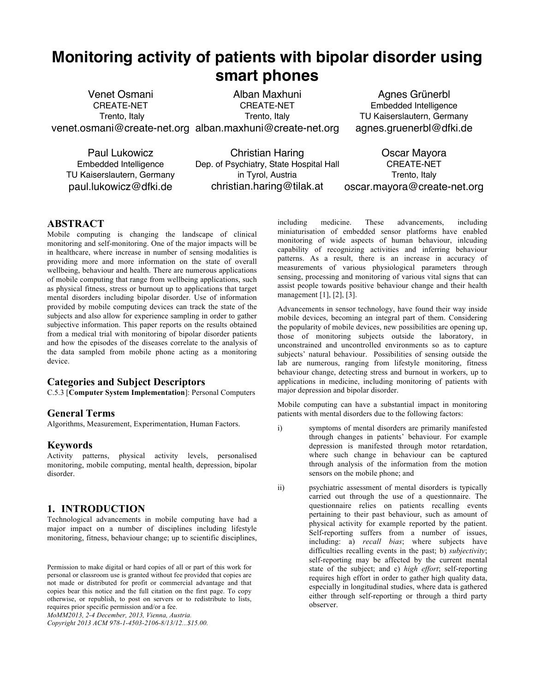# **Monitoring activity of patients with bipolar disorder using smart phones**

Venet Osmani CREATE-NET Trento, Italy

venet.osmani@create-net.org alban.maxhuni@create-net.org Alban Maxhuni CREATE-NET Trento, Italy

Agnes Grünerbl Embedded Intelligence TU Kaiserslautern, Germany agnes.gruenerbl@dfki.de

Paul Lukowicz Embedded Intelligence TU Kaiserslautern, Germany paul.lukowicz@dfki.de

Christian Haring Dep. of Psychiatry, State Hospital Hall in Tyrol, Austria christian.haring@tilak.at

Oscar Mayora CREATE-NET Trento, Italy oscar.mayora@create-net.org

## **ABSTRACT**

Mobile computing is changing the landscape of clinical monitoring and self-monitoring. One of the major impacts will be in healthcare, where increase in number of sensing modalities is providing more and more information on the state of overall wellbeing, behaviour and health. There are numerous applications of mobile computing that range from wellbeing applications, such as physical fitness, stress or burnout up to applications that target mental disorders including bipolar disorder. Use of information provided by mobile computing devices can track the state of the subjects and also allow for experience sampling in order to gather subjective information. This paper reports on the results obtained from a medical trial with monitoring of bipolar disorder patients and how the episodes of the diseases correlate to the analysis of the data sampled from mobile phone acting as a monitoring device.

#### **Categories and Subject Descriptors**

C.5.3 [**Computer System Implementation**]: Personal Computers

## **General Terms**

Algorithms, Measurement, Experimentation, Human Factors.

#### **Keywords**

Activity patterns, physical activity levels, personalised monitoring, mobile computing, mental health, depression, bipolar disorder.

#### **1. INTRODUCTION**

Technological advancements in mobile computing have had a major impact on a number of disciplines including lifestyle monitoring, fitness, behaviour change; up to scientific disciplines,

Permission to make digital or hard copies of all or part of this work for personal or classroom use is granted without fee provided that copies are not made or distributed for profit or commercial advantage and that copies bear this notice and the full citation on the first page. To copy otherwise, or republish, to post on servers or to redistribute to lists, requires prior specific permission and/or a fee.

*MoMM2013, 2-4 December, 2013, Vienna, Austria.*

*Copyright 2013 ACM 978-1-4503-2106-8/13/12...\$15.00.*

including medicine. These advancements, including miniaturisation of embedded sensor platforms have enabled monitoring of wide aspects of human behaviour, inlcuding capability of recognizing activities and inferring behaviour patterns. As a result, there is an increase in accuracy of measurements of various physiological parameters through sensing, processing and monitoring of various vital signs that can assist people towards positive behaviour change and their health management [1], [2], [3].

Advancements in sensor technology, have found their way inside mobile devices, becoming an integral part of them. Considering the popularity of mobile devices, new possibilities are opening up, those of monitoring subjects outside the laboratory, in unconstrained and uncontrolled environments so as to capture subjects' natural behaviour. Possibilities of sensing outside the lab are numerous, ranging from lifestyle monitoring, fitness behaviour change, detecting stress and burnout in workers, up to applications in medicine, including monitoring of patients with major depression and bipolar disorder.

Mobile computing can have a substantial impact in monitoring patients with mental disorders due to the following factors:

- i) symptoms of mental disorders are primarily manifested through changes in patients' behaviour. For example depression is manifested through motor retardation, where such change in behaviour can be captured through analysis of the information from the motion sensors on the mobile phone; and
- ii) psychiatric assessment of mental disorders is typically carried out through the use of a questionnaire. The questionnaire relies on patients recalling events pertaining to their past behaviour, such as amount of physical activity for example reported by the patient. Self-reporting suffers from a number of issues, including: a) *recall bias*; where subjects have difficulties recalling events in the past; b) *subjectivity*; self-reporting may be affected by the current mental state of the subject; and c) *high effort*; self-reporting requires high effort in order to gather high quality data, especially in longitudinal studies, where data is gathered either through self-reporting or through a third party observer.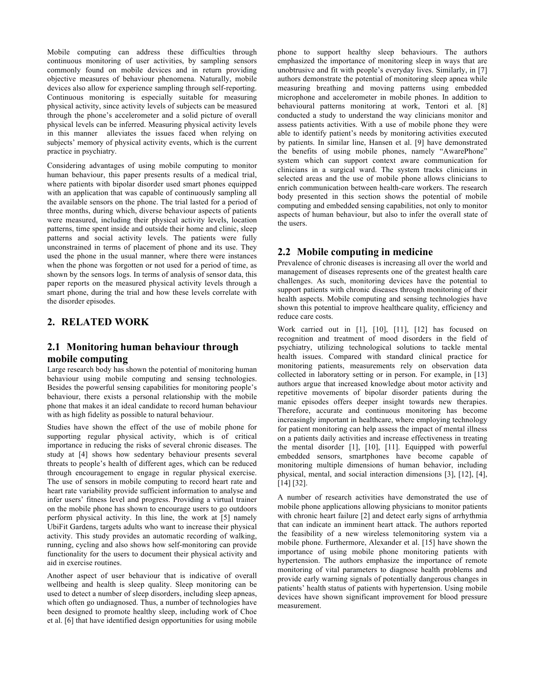Mobile computing can address these difficulties through continuous monitoring of user activities, by sampling sensors commonly found on mobile devices and in return providing objective measures of behaviour phenomena. Naturally, mobile devices also allow for experience sampling through self-reporting. Continuous monitoring is especially suitable for measuring physical activity, since activity levels of subjects can be measured through the phone's accelerometer and a solid picture of overall physical levels can be inferred. Measuring physical activity levels in this manner alleviates the issues faced when relying on subjects' memory of physical activity events, which is the current practice in psychiatry.

Considering advantages of using mobile computing to monitor human behaviour, this paper presents results of a medical trial, where patients with bipolar disorder used smart phones equipped with an application that was capable of continuously sampling all the available sensors on the phone. The trial lasted for a period of three months, during which, diverse behaviour aspects of patients were measured, including their physical activity levels, location patterns, time spent inside and outside their home and clinic, sleep patterns and social activity levels. The patients were fully unconstrained in terms of placement of phone and its use. They used the phone in the usual manner, where there were instances when the phone was forgotten or not used for a period of time, as shown by the sensors logs. In terms of analysis of sensor data, this paper reports on the measured physical activity levels through a smart phone, during the trial and how these levels correlate with the disorder episodes.

# **2. RELATED WORK**

# **2.1 Monitoring human behaviour through mobile computing**

Large research body has shown the potential of monitoring human behaviour using mobile computing and sensing technologies. Besides the powerful sensing capabilities for monitoring people's behaviour, there exists a personal relationship with the mobile phone that makes it an ideal candidate to record human behaviour with as high fidelity as possible to natural behaviour.

Studies have shown the effect of the use of mobile phone for supporting regular physical activity, which is of critical importance in reducing the risks of several chronic diseases. The study at [4] shows how sedentary behaviour presents several threats to people's health of different ages, which can be reduced through encouragement to engage in regular physical exercise. The use of sensors in mobile computing to record heart rate and heart rate variability provide sufficient information to analyse and infer users' fitness level and progress. Providing a virtual trainer on the mobile phone has shown to encourage users to go outdoors perform physical activity. In this line, the work at [5] namely UbiFit Gardens, targets adults who want to increase their physical activity. This study provides an automatic recording of walking, running, cycling and also shows how self-monitoring can provide functionality for the users to document their physical activity and aid in exercise routines.

Another aspect of user behaviour that is indicative of overall wellbeing and health is sleep quality. Sleep monitoring can be used to detect a number of sleep disorders, including sleep apneas, which often go undiagnosed. Thus, a number of technologies have been designed to promote healthy sleep, including work of Choe et al. [6] that have identified design opportunities for using mobile

phone to support healthy sleep behaviours. The authors emphasized the importance of monitoring sleep in ways that are unobtrusive and fit with people's everyday lives. Similarly, in [7] authors demonstrate the potential of monitoring sleep apnea while measuring breathing and moving patterns using embedded microphone and accelerometer in mobile phones. In addition to behavioural patterns monitoring at work, Tentori et al. [8] conducted a study to understand the way clinicians monitor and assess patients activities. With a use of mobile phone they were able to identify patient's needs by monitoring activities executed by patients. In similar line, Hansen et al. [9] have demonstrated the benefits of using mobile phones, namely "AwarePhone" system which can support context aware communication for clinicians in a surgical ward. The system tracks clinicians in selected areas and the use of mobile phone allows clinicians to enrich communication between health-care workers. The research body presented in this section shows the potential of mobile computing and embedded sensing capabilities, not only to monitor aspects of human behaviour, but also to infer the overall state of the users.

# **2.2 Mobile computing in medicine**

Prevalence of chronic diseases is increasing all over the world and management of diseases represents one of the greatest health care challenges. As such, monitoring devices have the potential to support patients with chronic diseases through monitoring of their health aspects. Mobile computing and sensing technologies have shown this potential to improve healthcare quality, efficiency and reduce care costs.

Work carried out in [1], [10], [11], [12] has focused on recognition and treatment of mood disorders in the field of psychiatry, utilizing technological solutions to tackle mental health issues. Compared with standard clinical practice for monitoring patients, measurements rely on observation data collected in laboratory setting or in person. For example, in [13] authors argue that increased knowledge about motor activity and repetitive movements of bipolar disorder patients during the manic episodes offers deeper insight towards new therapies. Therefore, accurate and continuous monitoring has become increasingly important in healthcare, where employing technology for patient monitoring can help assess the impact of mental illness on a patients daily activities and increase effectiveness in treating the mental disorder [1], [10], [11]. Equipped with powerful embedded sensors, smartphones have become capable of monitoring multiple dimensions of human behavior, including physical, mental, and social interaction dimensions [3], [12], [4], [14] [32].

A number of research activities have demonstrated the use of mobile phone applications allowing physicians to monitor patients with chronic heart failure [2] and detect early signs of arrhythmia that can indicate an imminent heart attack. The authors reported the feasibility of a new wireless telemonitoring system via a mobile phone. Furthermore, Alexander et al. [15] have shown the importance of using mobile phone monitoring patients with hypertension. The authors emphasize the importance of remote monitoring of vital parameters to diagnose health problems and provide early warning signals of potentially dangerous changes in patients' health status of patients with hypertension. Using mobile devices have shown significant improvement for blood pressure measurement.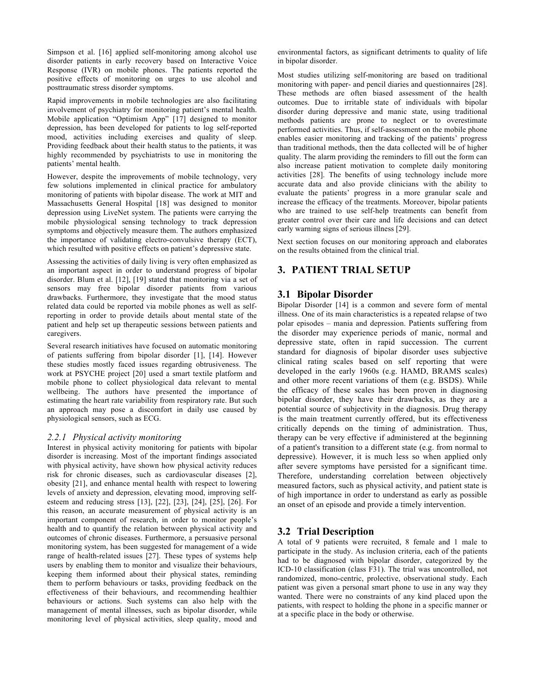Simpson et al. [16] applied self-monitoring among alcohol use disorder patients in early recovery based on Interactive Voice Response (IVR) on mobile phones. The patients reported the positive effects of monitoring on urges to use alcohol and posttraumatic stress disorder symptoms.

Rapid improvements in mobile technologies are also facilitating involvement of psychiatry for monitoring patient's mental health. Mobile application "Optimism App" [17] designed to monitor depression, has been developed for patients to log self-reported mood, activities including exercises and quality of sleep. Providing feedback about their health status to the patients, it was highly recommended by psychiatrists to use in monitoring the patients' mental health.

However, despite the improvements of mobile technology, very few solutions implemented in clinical practice for ambulatory monitoring of patients with bipolar disease. The work at MIT and Massachusetts General Hospital [18] was designed to monitor depression using LiveNet system. The patients were carrying the mobile physiological sensing technology to track depression symptoms and objectively measure them. The authors emphasized the importance of validating electro-convulsive therapy (ECT), which resulted with positive effects on patient's depressive state.

Assessing the activities of daily living is very often emphasized as an important aspect in order to understand progress of bipolar disorder. Blum et al. [12], [19] stated that monitoring via a set of sensors may free bipolar disorder patients from various drawbacks. Furthermore, they investigate that the mood status related data could be reported via mobile phones as well as selfreporting in order to provide details about mental state of the patient and help set up therapeutic sessions between patients and caregivers.

Several research initiatives have focused on automatic monitoring of patients suffering from bipolar disorder [1], [14]. However these studies mostly faced issues regarding obtrusiveness. The work at PSYCHE project [20] used a smart textile platform and mobile phone to collect physiological data relevant to mental wellbeing. The authors have presented the importance of estimating the heart rate variability from respiratory rate. But such an approach may pose a discomfort in daily use caused by physiological sensors, such as ECG.

#### *2.2.1 Physical activity monitoring*

Interest in physical activity monitoring for patients with bipolar disorder is increasing. Most of the important findings associated with physical activity, have shown how physical activity reduces risk for chronic diseases, such as cardiovascular diseases [2], obesity [21], and enhance mental health with respect to lowering levels of anxiety and depression, elevating mood, improving selfesteem and reducing stress [13], [22], [23], [24], [25], [26]. For this reason, an accurate measurement of physical activity is an important component of research, in order to monitor people's health and to quantify the relation between physical activity and outcomes of chronic diseases. Furthermore, a persuasive personal monitoring system, has been suggested for management of a wide range of health-related issues [27]. These types of systems help users by enabling them to monitor and visualize their behaviours, keeping them informed about their physical states, reminding them to perform behaviours or tasks, providing feedback on the effectiveness of their behaviours, and recommending healthier behaviours or actions. Such systems can also help with the management of mental illnesses, such as bipolar disorder, while monitoring level of physical activities, sleep quality, mood and

environmental factors, as significant detriments to quality of life in bipolar disorder.

Most studies utilizing self-monitoring are based on traditional monitoring with paper- and pencil diaries and questionnaires [28]. These methods are often biased assessment of the health outcomes. Due to irritable state of individuals with bipolar disorder during depressive and manic state, using traditional methods patients are prone to neglect or to overestimate performed activities. Thus, if self-assessment on the mobile phone enables easier monitoring and tracking of the patients' progress than traditional methods, then the data collected will be of higher quality. The alarm providing the reminders to fill out the form can also increase patient motivation to complete daily monitoring activities [28]. The benefits of using technology include more accurate data and also provide clinicians with the ability to evaluate the patients' progress in a more granular scale and increase the efficacy of the treatments. Moreover, bipolar patients who are trained to use self-help treatments can benefit from greater control over their care and life decisions and can detect early warning signs of serious illness [29].

Next section focuses on our monitoring approach and elaborates on the results obtained from the clinical trial.

# **3. PATIENT TRIAL SETUP**

## **3.1 Bipolar Disorder**

Bipolar Disorder [14] is a common and severe form of mental illness. One of its main characteristics is a repeated relapse of two polar episodes – mania and depression. Patients suffering from the disorder may experience periods of manic, normal and depressive state, often in rapid succession. The current standard for diagnosis of bipolar disorder uses subjective clinical rating scales based on self reporting that were developed in the early 1960s (e.g. HAMD, BRAMS scales) and other more recent variations of them (e.g. BSDS). While the efficacy of these scales has been proven in diagnosing bipolar disorder, they have their drawbacks, as they are a potential source of subjectivity in the diagnosis. Drug therapy is the main treatment currently offered, but its effectiveness critically depends on the timing of administration. Thus, therapy can be very effective if administered at the beginning of a patient's transition to a different state (e.g. from normal to depressive). However, it is much less so when applied only after severe symptoms have persisted for a significant time. Therefore, understanding correlation between objectively measured factors, such as physical activity, and patient state is of high importance in order to understand as early as possible an onset of an episode and provide a timely intervention.

## **3.2 Trial Description**

A total of 9 patients were recruited, 8 female and 1 male to participate in the study. As inclusion criteria, each of the patients had to be diagnosed with bipolar disorder, categorized by the ICD-10 classification (class F31). The trial was uncontrolled, not randomized, mono-centric, prolective, observational study. Each patient was given a personal smart phone to use in any way they wanted. There were no constraints of any kind placed upon the patients, with respect to holding the phone in a specific manner or at a specific place in the body or otherwise.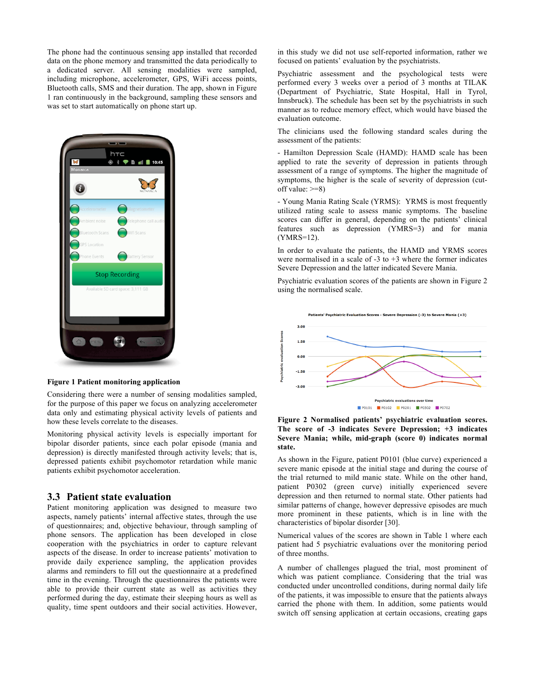The phone had the continuous sensing app installed that recorded data on the phone memory and transmitted the data periodically to a dedicated server. All sensing modalities were sampled, including microphone, accelerometer, GPS, WiFi access points, Bluetooth calls, SMS and their duration. The app, shown in Figure 1 ran continuously in the background, sampling these sensors and was set to start automatically on phone start up.



#### **Figure 1 Patient monitoring application**

Considering there were a number of sensing modalities sampled, for the purpose of this paper we focus on analyzing accelerometer data only and estimating physical activity levels of patients and how these levels correlate to the diseases.

Monitoring physical activity levels is especially important for bipolar disorder patients, since each polar episode (mania and depression) is directly manifested through activity levels; that is, depressed patients exhibit psychomotor retardation while manic patients exhibit psychomotor acceleration.

#### **3.3 Patient state evaluation**

Patient monitoring application was designed to measure two aspects, namely patients' internal affective states, through the use of questionnaires; and, objective behaviour, through sampling of phone sensors. The application has been developed in close cooperation with the psychiatrics in order to capture relevant aspects of the disease. In order to increase patients' motivation to provide daily experience sampling, the application provides alarms and reminders to fill out the questionnaire at a predefined time in the evening. Through the questionnaires the patients were able to provide their current state as well as activities they performed during the day, estimate their sleeping hours as well as quality, time spent outdoors and their social activities. However, in this study we did not use self-reported information, rather we focused on patients' evaluation by the psychiatrists.

Psychiatric assessment and the psychological tests were performed every 3 weeks over a period of 3 months at TILAK (Department of Psychiatric, State Hospital, Hall in Tyrol, Innsbruck). The schedule has been set by the psychiatrists in such manner as to reduce memory effect, which would have biased the evaluation outcome.

The clinicians used the following standard scales during the assessment of the patients:

- Hamilton Depression Scale (HAMD): HAMD scale has been applied to rate the severity of depression in patients through assessment of a range of symptoms. The higher the magnitude of symptoms, the higher is the scale of severity of depression (cutoff value:  $>=8$ )

- Young Mania Rating Scale (YRMS): YRMS is most frequently utilized rating scale to assess manic symptoms. The baseline scores can differ in general, depending on the patients' clinical features such as depression (YMRS=3) and for mania (YMRS=12).

In order to evaluate the patients, the HAMD and YRMS scores were normalised in a scale of  $-3$  to  $+3$  where the former indicates Severe Depression and the latter indicated Severe Mania.

Psychiatric evaluation scores of the patients are shown in Figure 2 using the normalised scale.



**Figure 2 Normalised patients' psychiatric evaluation scores. The score of -3 indicates Severe Depression; +3 indicates Severe Mania; while, mid-graph (score 0) indicates normal state.**

As shown in the Figure, patient P0101 (blue curve) experienced a severe manic episode at the initial stage and during the course of the trial returned to mild manic state. While on the other hand, patient P0302 (green curve) initially experienced severe depression and then returned to normal state. Other patients had similar patterns of change, however depressive episodes are much more prominent in these patients, which is in line with the characteristics of bipolar disorder [30].

Numerical values of the scores are shown in Table 1 where each patient had 5 psychiatric evaluations over the monitoring period of three months.

A number of challenges plagued the trial, most prominent of which was patient compliance. Considering that the trial was conducted under uncontrolled conditions, during normal daily life of the patients, it was impossible to ensure that the patients always carried the phone with them. In addition, some patients would switch off sensing application at certain occasions, creating gaps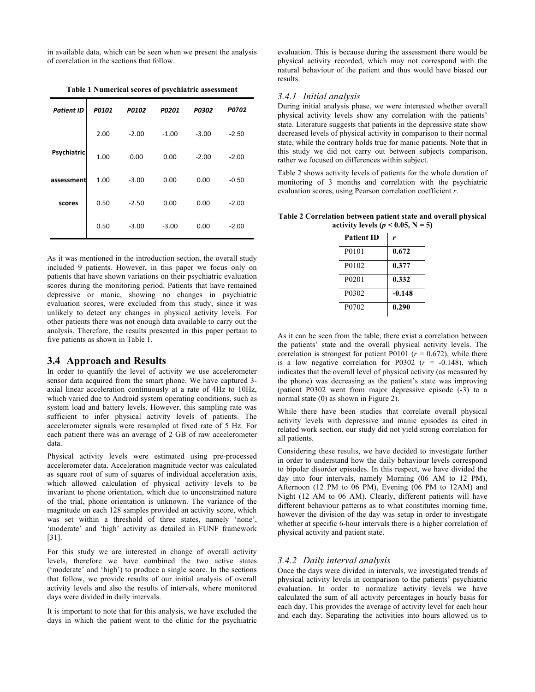in available data, which can be seen when we present the analysis of correlation in the sections that follow.

| <b>Patient ID</b> | P0101 | P0102   | P0201   | <b>P0302</b> | <b>P0702</b> |
|-------------------|-------|---------|---------|--------------|--------------|
|                   | 2.00  | $-2.00$ | $-1.00$ | $-3.00$      | $-2.50$      |
| Psychiatric       | 1.00  | 0.00    | 0.00    | $-2.00$      | $-2.00$      |
| assessment        | 1.00  | $-3.00$ | 0.00    | 0.00         | $-0.50$      |
| scores            | 0.50  | $-2.50$ | 0.00    | 0.00         | $-2.00$      |
|                   | 0.50  | $-3.00$ | $-3.00$ | 0.00         | $-2.00$      |

**Table 1 Numerical scores of psychiatric assessment**

As it was mentioned in the introduction section, the overall study included 9 patients. However, in this paper we focus only on patients that have shown variations on their psychiatric evaluation scores during the monitoring period. Patients that have remained depressive or manic, showing no changes in psychiatric evaluation scores, were excluded from this study, since it was unlikely to detect any changes in physical activity levels. For other patients there was not enough data available to carry out the analysis. Therefore, the results presented in this paper pertain to five patients as shown in Table 1.

#### **3.4 Approach and Results**

In order to quantify the level of activity we use accelerometer sensor data acquired from the smart phone. We have captured 3 axial linear acceleration continuously at a rate of 4Hz to 10Hz, which varied due to Android system operating conditions, such as system load and battery levels. However, this sampling rate was sufficient to infer physical activity levels of patients. The accelerometer signals were resampled at fixed rate of 5 Hz. For each patient there was an average of 2 GB of raw accelerometer data.

Physical activity levels were estimated using pre-processed accelerometer data. Acceleration magnitude vector was calculated as square root of sum of squares of individual acceleration axis, which allowed calculation of physical activity levels to be invariant to phone orientation, which due to unconstrained nature of the trial, phone orientation is unknown. The variance of the magnitude on each 128 samples provided an activity score, which was set within a threshold of three states, namely 'none', 'moderate' and 'high' activity as detailed in FUNF framework [31].

For this study we are interested in change of overall activity levels, therefore we have combined the two active states ('moderate' and 'high') to produce a single score. In the sections that follow, we provide results of our initial analysis of overall activity levels and also the results of intervals, where monitored days were divided in daily intervals.

It is important to note that for this analysis, we have excluded the days in which the patient went to the clinic for the psychiatric

evaluation. This is because during the assessment there would be physical activity recorded, which may not correspond with the natural behaviour of the patient and thus would have biased our results.

#### *3.4.1 Initial analysis*

During initial analysis phase, we were interested whether overall physical activity levels show any correlation with the patients' state. Literature suggests that patients in the depressive state show decreased levels of physical activity in comparison to their normal state, while the contrary holds true for manic patients. Note that in this study we did not carry out between subjects comparison, rather we focused on differences within subject.

Table 2 shows activity levels of patients for the whole duration of monitoring of 3 months and correlation with the psychiatric evaluation scores, using Pearson correlation coefficient *r*.

**Table 2 Correlation between patient state and overall physical activity levels**  $(p < 0.05, N = 5)$ 

| <b>Patient ID</b>               | r        |
|---------------------------------|----------|
| P0101                           | 0.672    |
| P <sub>0</sub> 10 <sub>2</sub>  | 0.377    |
| P <sub>0201</sub>               | 0.332    |
| P <sub>0</sub> 3 <sub>0</sub> 2 | $-0.148$ |
| P0702                           | 0.290    |

As it can be seen from the table, there exist a correlation between the patients' state and the overall physical activity levels. The correlation is strongest for patient P0101 ( $r = 0.672$ ), while there is a low negative correlation for P0302  $(r = -0.148)$ , which indicates that the overall level of physical activity (as measured by the phone) was decreasing as the patient's state was improving (patient P0302 went from major depressive episode (-3) to a normal state (0) as shown in Figure 2).

While there have been studies that correlate overall physical activity levels with depressive and manic episodes as cited in related work section, our study did not yield strong correlation for all patients.

Considering these results, we have decided to investigate further in order to understand how the daily behaviour levels correspond to bipolar disorder episodes. In this respect, we have divided the day into four intervals, namely Morning (06 AM to 12 PM), Afternoon (12 PM to 06 PM), Evening (06 PM to 12AM) and Night (12 AM to 06 AM). Clearly, different patients will have different behaviour patterns as to what constitutes morning time, however the division of the day was setup in order to investigate whether at specific 6-hour intervals there is a higher correlation of physical activity and patient state.

#### *3.4.2 Daily interval analysis*

Once the days were divided in intervals, we investigated trends of physical activity levels in comparison to the patients' psychiatric evaluation. In order to normalize activity levels we have calculated the sum of all activity percentages in hourly basis for each day. This provides the average of activity level for each hour and each day. Separating the activities into hours allowed us to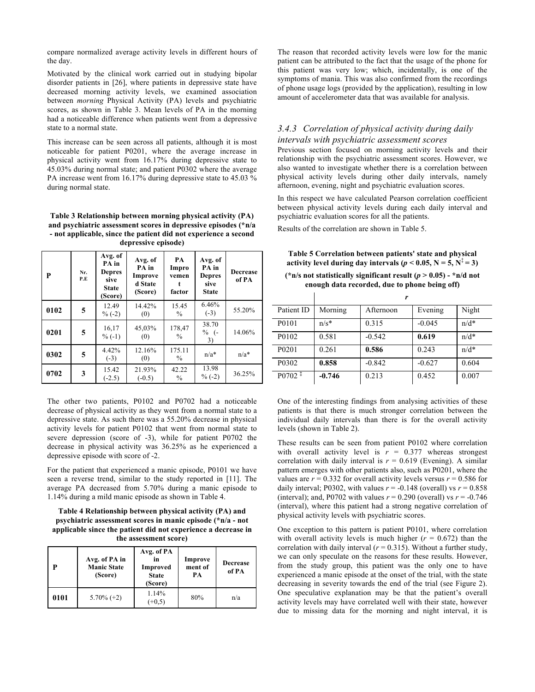compare normalized average activity levels in different hours of the day.

Motivated by the clinical work carried out in studying bipolar disorder patients in [26], where patients in depressive state have decreased morning activity levels, we examined association between *morning* Physical Activity (PA) levels and psychiatric scores, as shown in Table 3. Mean levels of PA in the morning had a noticeable difference when patients went from a depressive state to a normal state.

This increase can be seen across all patients, although it is most noticeable for patient P0201, where the average increase in physical activity went from 16.17% during depressive state to 45.03% during normal state; and patient P0302 where the average PA increase went from 16.17% during depressive state to 45.03 % during normal state.

**Table 3 Relationship between morning physical activity (PA) and psychiatric assessment scores in depressive episodes (\*n/a - not applicable, since the patient did not experience a second depressive episode)**

| P    | Nr.<br>P.E | Avg. of<br>PA in<br><b>Depres</b><br>sive<br><b>State</b><br>(Score) | Avg. of<br>PA in<br>Improve<br>d State<br>(Score) | PA<br>Impro<br>vemen<br>t<br>factor | Avg. of<br>PA in<br><b>Depres</b><br>sive<br><b>State</b> | <b>Decrease</b><br>of PA |
|------|------------|----------------------------------------------------------------------|---------------------------------------------------|-------------------------------------|-----------------------------------------------------------|--------------------------|
| 0102 | 5          | 12.49<br>$% (-2)$                                                    | 14.42%<br>(0)                                     | 15.45<br>$\frac{0}{0}$              | 6.46%<br>$(-3)$                                           | 55.20%                   |
| 0201 | 5          | 16,17<br>$\%$ (-1)                                                   | 45,03%<br>(0)                                     | 178,47<br>$\frac{0}{0}$             | 38.70<br>$\%$ (-<br>3)                                    | 14.06%                   |
| 0302 | 5          | 4.42%<br>$(-3)$                                                      | 12.16%<br>(0)                                     | 175.11<br>$\frac{0}{0}$             | $n/a*$                                                    | $n/a*$                   |
| 0702 | 3          | 15.42<br>$(-2.5)$                                                    | 21.93%<br>$(-0.5)$                                | 42.22<br>$\frac{0}{0}$              | 13.98<br>$\%$ (-2)                                        | 36.25%                   |

The other two patients, P0102 and P0702 had a noticeable decrease of physical activity as they went from a normal state to a depressive state. As such there was a 55.20% decrease in physical activity levels for patient P0102 that went from normal state to severe depression (score of -3), while for patient P0702 the decrease in physical activity was 36.25% as he experienced a depressive episode with score of -2.

For the patient that experienced a manic episode, P0101 we have seen a reverse trend, similar to the study reported in [11]. The average PA decreased from 5.70% during a manic episode to 1.14% during a mild manic episode as shown in Table 4.

**Table 4 Relationship between physical activity (PA) and psychiatric assessment scores in manic episode (\*n/a - not applicable since the patient did not experience a decrease in the assessment score)**

|      | Avg. of PA in<br><b>Manic State</b><br>(Score) | Avg. of PA<br>in<br>Improved<br><b>State</b><br>(Score) | Improve<br>ment of<br>PA | <b>Decrease</b><br>of PA |
|------|------------------------------------------------|---------------------------------------------------------|--------------------------|--------------------------|
| 0101 | $5.70\%$ (+2)                                  | 1.14%                                                   | 80%                      | n/a                      |

The reason that recorded activity levels were low for the manic patient can be attributed to the fact that the usage of the phone for this patient was very low; which, incidentally, is one of the symptoms of mania. This was also confirmed from the recordings of phone usage logs (provided by the application), resulting in low amount of accelerometer data that was available for analysis.

#### *3.4.3 Correlation of physical activity during daily intervals with psychiatric assessment scores*

Previous section focused on morning activity levels and their relationship with the psychiatric assessment scores. However, we also wanted to investigate whether there is a correlation between physical activity levels during other daily intervals, namely afternoon, evening, night and psychiatric evaluation scores.

In this respect we have calculated Pearson correlation coefficient between physical activity levels during each daily interval and psychiatric evaluation scores for all the patients.

Results of the correlation are shown in Table 5.

 $\mathbf{I}$ 

**Table 5 Correlation between patients' state and physical activity level during day intervals (** $p < 0.05$ **,**  $N = 5$ **,**  $N^{\ddagger} = 3$ **)** 

(\*n/s not statistically significant result  $(p > 0.05)$  - \*n/d not **enough data recorded, due to phone being off)**

| Patient ID                      | Morning  | Afternoon | Evening  | Night   |
|---------------------------------|----------|-----------|----------|---------|
| P0101                           | $n/s*$   | 0.315     | $-0.045$ | $n/d*$  |
| P0102                           | 0.581    | $-0.542$  | 0.619    | $n/d*$  |
| P <sub>0201</sub>               | 0.261    | 0.586     | 0.243    | $n/d^*$ |
| P <sub>0</sub> 3 <sub>0</sub> 2 | 0.858    | $-0.842$  | $-0.627$ | 0.604   |
| $P0702$ <sup>‡</sup>            | $-0.746$ | 0.213     | 0.452    | 0.007   |

One of the interesting findings from analysing activities of these patients is that there is much stronger correlation between the individual daily intervals than there is for the overall activity levels (shown in Table 2).

These results can be seen from patient P0102 where correlation with overall activity level is  $r = 0.377$  whereas strongest correlation with daily interval is  $r = 0.619$  (Evening). A similar pattern emerges with other patients also, such as P0201, where the values are  $r = 0.332$  for overall activity levels versus  $r = 0.586$  for daily interval; P0302, with values  $r = -0.148$  (overall) vs  $r = 0.858$ (interval); and, P0702 with values  $r = 0.290$  (overall) vs  $r = -0.746$ (interval), where this patient had a strong negative correlation of physical activity levels with psychiatric scores.

One exception to this pattern is patient P0101, where correlation with overall activity levels is much higher  $(r = 0.672)$  than the correlation with daily interval  $(r = 0.315)$ . Without a further study, we can only speculate on the reasons for these results. However, from the study group, this patient was the only one to have experienced a manic episode at the onset of the trial, with the state decreasing in severity towards the end of the trial (see Figure 2). One speculative explanation may be that the patient's overall activity levels may have correlated well with their state, however due to missing data for the morning and night interval, it is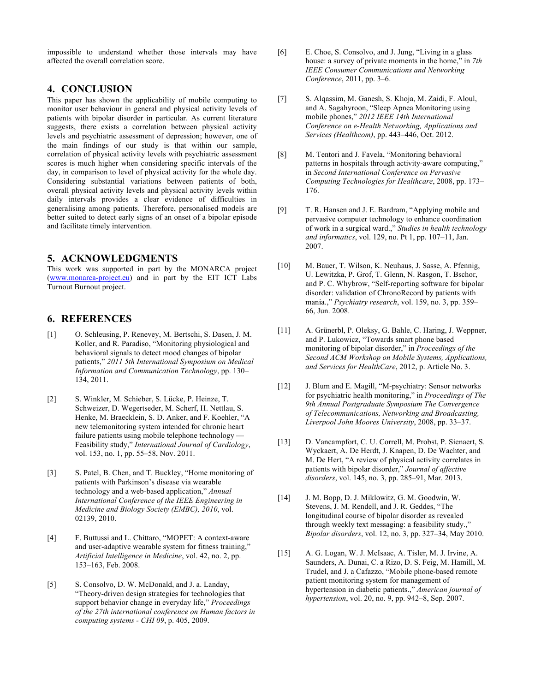impossible to understand whether those intervals may have affected the overall correlation score.

## **4. CONCLUSION**

This paper has shown the applicability of mobile computing to monitor user behaviour in general and physical activity levels of patients with bipolar disorder in particular. As current literature suggests, there exists a correlation between physical activity levels and psychiatric assessment of depression; however, one of the main findings of our study is that within our sample, correlation of physical activity levels with psychiatric assessment scores is much higher when considering specific intervals of the day, in comparison to level of physical activity for the whole day. Considering substantial variations between patients of both, overall physical activity levels and physical activity levels within daily intervals provides a clear evidence of difficulties in generalising among patients. Therefore, personalised models are better suited to detect early signs of an onset of a bipolar episode and facilitate timely intervention.

### **5. ACKNOWLEDGMENTS**

This work was supported in part by the MONARCA project (www.monarca-project.eu) and in part by the EIT ICT Labs Turnout Burnout project.

### **6. REFERENCES**

- [1] O. Schleusing, P. Renevey, M. Bertschi, S. Dasen, J. M. Koller, and R. Paradiso, "Monitoring physiological and behavioral signals to detect mood changes of bipolar patients," *2011 5th International Symposium on Medical Information and Communication Technology*, pp. 130– 134, 2011.
- [2] S. Winkler, M. Schieber, S. Lücke, P. Heinze, T. Schweizer, D. Wegertseder, M. Scherf, H. Nettlau, S. Henke, M. Braecklein, S. D. Anker, and F. Koehler, "A new telemonitoring system intended for chronic heart failure patients using mobile telephone technology — Feasibility study," *International Journal of Cardiology*, vol. 153, no. 1, pp. 55–58, Nov. 2011.
- [3] S. Patel, B. Chen, and T. Buckley, "Home monitoring of patients with Parkinson's disease via wearable technology and a web-based application," *Annual International Conference of the IEEE Engineering in Medicine and Biology Society (EMBC), 2010*, vol. 02139, 2010.
- [4] F. Buttussi and L. Chittaro, "MOPET: A context-aware and user-adaptive wearable system for fitness training," *Artificial Intelligence in Medicine*, vol. 42, no. 2, pp. 153–163, Feb. 2008.
- [5] S. Consolvo, D. W. McDonald, and J. a. Landay, "Theory-driven design strategies for technologies that support behavior change in everyday life," *Proceedings of the 27th international conference on Human factors in computing systems - CHI 09*, p. 405, 2009.
- [6] E. Choe, S. Consolvo, and J. Jung, "Living in a glass house: a survey of private moments in the home," in *7th IEEE Consumer Communications and Networking Conference*, 2011, pp. 3–6.
- [7] S. Alqassim, M. Ganesh, S. Khoja, M. Zaidi, F. Aloul, and A. Sagahyroon, "Sleep Apnea Monitoring using mobile phones," *2012 IEEE 14th International Conference on e-Health Networking, Applications and Services (Healthcom)*, pp. 443–446, Oct. 2012.
- [8] M. Tentori and J. Favela, "Monitoring behavioral patterns in hospitals through activity-aware computing," in *Second International Conference on Pervasive Computing Technologies for Healthcare*, 2008, pp. 173– 176.
- [9] T. R. Hansen and J. E. Bardram, "Applying mobile and pervasive computer technology to enhance coordination of work in a surgical ward.," *Studies in health technology and informatics*, vol. 129, no. Pt 1, pp. 107–11, Jan. 2007.
- [10] M. Bauer, T. Wilson, K. Neuhaus, J. Sasse, A. Pfennig, U. Lewitzka, P. Grof, T. Glenn, N. Rasgon, T. Bschor, and P. C. Whybrow, "Self-reporting software for bipolar disorder: validation of ChronoRecord by patients with mania.," *Psychiatry research*, vol. 159, no. 3, pp. 359– 66, Jun. 2008.
- [11] A. Grünerbl, P. Oleksy, G. Bahle, C. Haring, J. Weppner, and P. Lukowicz, "Towards smart phone based monitoring of bipolar disorder," in *Proceedings of the Second ACM Workshop on Mobile Systems, Applications, and Services for HealthCare*, 2012, p. Article No. 3.
- [12] J. Blum and E. Magill, "M-psychiatry: Sensor networks for psychiatric health monitoring," in *Proceedings of The 9th Annual Postgraduate Symposium The Convergence of Telecommunications, Networking and Broadcasting, Liverpool John Moores University*, 2008, pp. 33–37.
- [13] D. Vancampfort, C. U. Correll, M. Probst, P. Sienaert, S. Wyckaert, A. De Herdt, J. Knapen, D. De Wachter, and M. De Hert, "A review of physical activity correlates in patients with bipolar disorder," *Journal of affective disorders*, vol. 145, no. 3, pp. 285–91, Mar. 2013.
- [14] J. M. Bopp, D. J. Miklowitz, G. M. Goodwin, W. Stevens, J. M. Rendell, and J. R. Geddes, "The longitudinal course of bipolar disorder as revealed through weekly text messaging: a feasibility study.," *Bipolar disorders*, vol. 12, no. 3, pp. 327–34, May 2010.
- [15] A. G. Logan, W. J. McIsaac, A. Tisler, M. J. Irvine, A. Saunders, A. Dunai, C. a Rizo, D. S. Feig, M. Hamill, M. Trudel, and J. a Cafazzo, "Mobile phone-based remote patient monitoring system for management of hypertension in diabetic patients.," *American journal of hypertension*, vol. 20, no. 9, pp. 942–8, Sep. 2007.